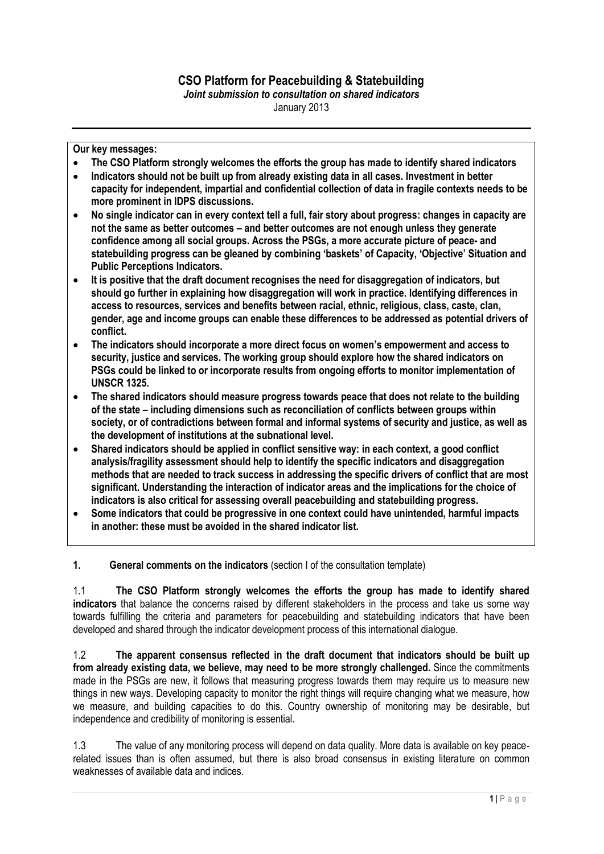## **CSO Platform for Peacebuilding & Statebuilding**

*Joint submission to consultation on shared indicators* January 2013

**Our key messages:**

- **The CSO Platform strongly welcomes the efforts the group has made to identify shared indicators**
- **Indicators should not be built up from already existing data in all cases. Investment in better capacity for independent, impartial and confidential collection of data in fragile contexts needs to be more prominent in IDPS discussions.**
- **No single indicator can in every context tell a full, fair story about progress: changes in capacity are not the same as better outcomes – and better outcomes are not enough unless they generate confidence among all social groups. Across the PSGs, a more accurate picture of peace- and statebuilding progress can be gleaned by combining 'baskets' of Capacity, 'Objective' Situation and Public Perceptions Indicators.**
- **It is positive that the draft document recognises the need for disaggregation of indicators, but should go further in explaining how disaggregation will work in practice. Identifying differences in access to resources, services and benefits between racial, ethnic, religious, class, caste, clan, gender, age and income groups can enable these differences to be addressed as potential drivers of conflict.**
- **The indicators should incorporate a more direct focus on women's empowerment and access to security, justice and services. The working group should explore how the shared indicators on PSGs could be linked to or incorporate results from ongoing efforts to monitor implementation of UNSCR 1325.**
- **The shared indicators should measure progress towards peace that does not relate to the building of the state – including dimensions such as reconciliation of conflicts between groups within society, or of contradictions between formal and informal systems of security and justice, as well as the development of institutions at the subnational level.**
- **Shared indicators should be applied in conflict sensitive way: in each context, a good conflict analysis/fragility assessment should help to identify the specific indicators and disaggregation methods that are needed to track success in addressing the specific drivers of conflict that are most significant. Understanding the interaction of indicator areas and the implications for the choice of indicators is also critical for assessing overall peacebuilding and statebuilding progress.**
- **Some indicators that could be progressive in one context could have unintended, harmful impacts in another: these must be avoided in the shared indicator list.**

**1. General comments on the indicators** (section I of the consultation template)

1.1 **The CSO Platform strongly welcomes the efforts the group has made to identify shared indicators** that balance the concerns raised by different stakeholders in the process and take us some way towards fulfilling the criteria and parameters for peacebuilding and statebuilding indicators that have been developed and shared through the indicator development process of this international dialogue.

1.2 **The apparent consensus reflected in the draft document that indicators should be built up from already existing data, we believe, may need to be more strongly challenged.** Since the commitments made in the PSGs are new, it follows that measuring progress towards them may require us to measure new things in new ways. Developing capacity to monitor the right things will require changing what we measure, how we measure, and building capacities to do this. Country ownership of monitoring may be desirable, but independence and credibility of monitoring is essential.

1.3 The value of any monitoring process will depend on data quality. More data is available on key peacerelated issues than is often assumed, but there is also broad consensus in existing literature on common weaknesses of available data and indices.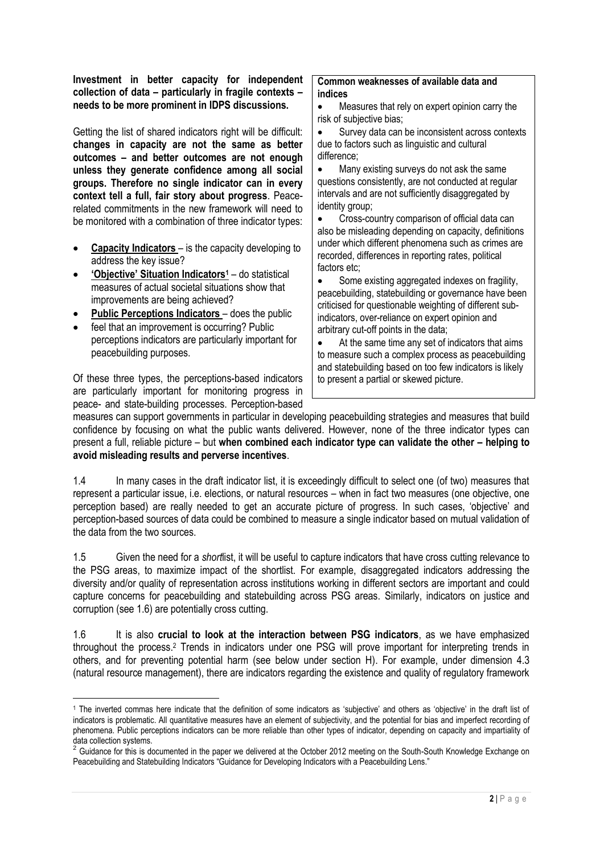**Investment in better capacity for independent collection of data – particularly in fragile contexts – needs to be more prominent in IDPS discussions.**

Getting the list of shared indicators right will be difficult: **changes in capacity are not the same as better outcomes – and better outcomes are not enough unless they generate confidence among all social groups. Therefore no single indicator can in every context tell a full, fair story about progress**. Peacerelated commitments in the new framework will need to be monitored with a combination of three indicator types:

- **Capacity Indicators** is the capacity developing to address the key issue?
- **'Objective' Situation Indicators<sup>1</sup>** do statistical measures of actual societal situations show that improvements are being achieved?
- **Public Perceptions Indicators** does the public
- feel that an improvement is occurring? Public perceptions indicators are particularly important for peacebuilding purposes.

Of these three types, the perceptions-based indicators are particularly important for monitoring progress in peace- and state-building processes. Perception-based

#### **Common weaknesses of available data and indices**

- Measures that rely on expert opinion carry the risk of subjective bias;
- Survey data can be inconsistent across contexts due to factors such as linguistic and cultural difference;

 Many existing surveys do not ask the same questions consistently, are not conducted at regular intervals and are not sufficiently disaggregated by identity group;

 Cross-country comparison of official data can also be misleading depending on capacity, definitions under which different phenomena such as crimes are recorded, differences in reporting rates, political factors etc;

• Some existing aggregated indexes on fragility, peacebuilding, statebuilding or governance have been criticised for questionable weighting of different subindicators, over-reliance on expert opinion and arbitrary cut-off points in the data;

 At the same time any set of indicators that aims to measure such a complex process as peacebuilding and statebuilding based on too few indicators is likely to present a partial or skewed picture.

measures can support governments in particular in developing peacebuilding strategies and measures that build confidence by focusing on what the public wants delivered. However, none of the three indicator types can present a full, reliable picture – but **when combined each indicator type can validate the other – helping to avoid misleading results and perverse incentives**.

1.4 In many cases in the draft indicator list, it is exceedingly difficult to select one (of two) measures that represent a particular issue, i.e. elections, or natural resources – when in fact two measures (one objective, one perception based) are really needed to get an accurate picture of progress. In such cases, 'objective' and perception-based sources of data could be combined to measure a single indicator based on mutual validation of the data from the two sources.

1.5 Given the need for a *short*list, it will be useful to capture indicators that have cross cutting relevance to the PSG areas, to maximize impact of the shortlist. For example, disaggregated indicators addressing the diversity and/or quality of representation across institutions working in different sectors are important and could capture concerns for peacebuilding and statebuilding across PSG areas. Similarly, indicators on justice and corruption (see 1.6) are potentially cross cutting.

1.6 It is also **crucial to look at the interaction between PSG indicators**, as we have emphasized throughout the process. <sup>2</sup> Trends in indicators under one PSG will prove important for interpreting trends in others, and for preventing potential harm (see below under section H). For example, under dimension 4.3 (natural resource management), there are indicators regarding the existence and quality of regulatory framework

<sup>&</sup>lt;u>.</u> <sup>1</sup> The inverted commas here indicate that the definition of some indicators as 'subjective' and others as 'objective' in the draft list of indicators is problematic. All quantitative measures have an element of subjectivity, and the potential for bias and imperfect recording of phenomena. Public perceptions indicators can be more reliable than other types of indicator, depending on capacity and impartiality of

data collection systems.<br><sup>2</sup> Guidance for this is documented in the paper we delivered at the October 2012 meeting on the South-South Knowledge Exchange on Peacebuilding and Statebuilding Indicators "Guidance for Developing Indicators with a Peacebuilding Lens."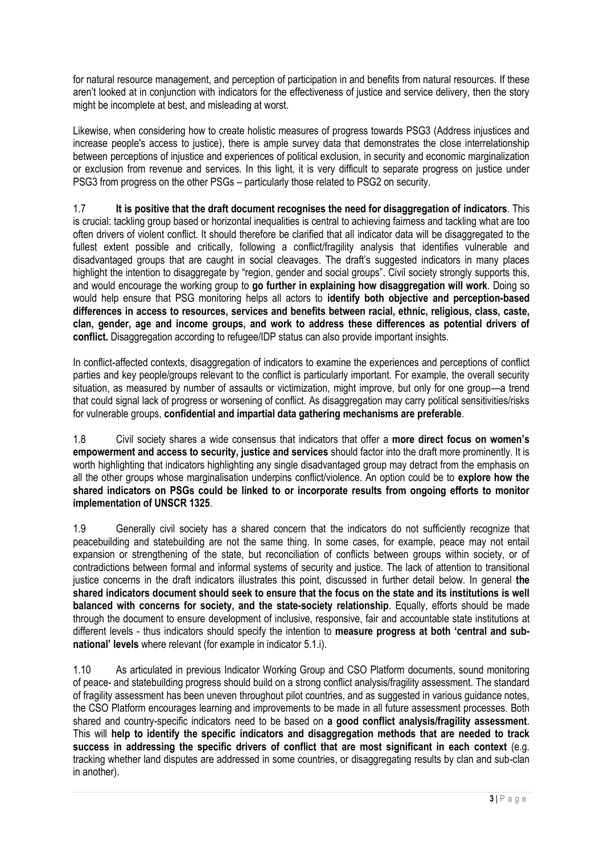for natural resource management, and perception of participation in and benefits from natural resources. If these aren't looked at in conjunction with indicators for the effectiveness of justice and service delivery, then the story might be incomplete at best, and misleading at worst.

Likewise, when considering how to create holistic measures of progress towards PSG3 (Address injustices and increase people's access to justice), there is ample survey data that demonstrates the close interrelationship between perceptions of injustice and experiences of political exclusion, in security and economic marginalization or exclusion from revenue and services*.* In this light, it is very difficult to separate progress on justice under PSG3 from progress on the other PSGs – particularly those related to PSG2 on security.

1.7 **It is positive that the draft document recognises the need for disaggregation of indicators**. This is crucial: tackling group based or horizontal inequalities is central to achieving fairness and tackling what are too often drivers of violent conflict. It should therefore be clarified that all indicator data will be disaggregated to the fullest extent possible and critically, following a conflict/fragility analysis that identifies vulnerable and disadvantaged groups that are caught in social cleavages. The draft's suggested indicators in many places highlight the intention to disaggregate by "region, gender and social groups". Civil society strongly supports this, and would encourage the working group to **go further in explaining how disaggregation will work**. Doing so would help ensure that PSG monitoring helps all actors to **identify both objective and perception-based differences in access to resources, services and benefits between racial, ethnic, religious, class, caste, clan, gender, age and income groups, and work to address these differences as potential drivers of conflict.** Disaggregation according to refugee/IDP status can also provide important insights.

In conflict-affected contexts, disaggregation of indicators to examine the experiences and perceptions of conflict parties and key people/groups relevant to the conflict is particularly important. For example, the overall security situation, as measured by number of assaults or victimization, might improve, but only for one group—a trend that could signal lack of progress or worsening of conflict. As disaggregation may carry political sensitivities/risks for vulnerable groups, **confidential and impartial data gathering mechanisms are preferable**.

1.8 Civil society shares a wide consensus that indicators that offer a **more direct focus on women's empowerment and access to security, justice and services** should factor into the draft more prominently. It is worth highlighting that indicators highlighting any single disadvantaged group may detract from the emphasis on all the other groups whose marginalisation underpins conflict/violence. An option could be to **explore how the shared indicators on PSGs could be linked to or incorporate results from ongoing efforts to monitor implementation of UNSCR 1325**.

1.9 Generally civil society has a shared concern that the indicators do not sufficiently recognize that peacebuilding and statebuilding are not the same thing*.* In some cases, for example, peace may not entail expansion or strengthening of the state, but reconciliation of conflicts between groups within society, or of contradictions between formal and informal systems of security and justice. The lack of attention to transitional justice concerns in the draft indicators illustrates this point, discussed in further detail below. In general **the shared indicators document should seek to ensure that the focus on the state and its institutions is well balanced with concerns for society, and the state-society relationship**. Equally, efforts should be made through the document to ensure development of inclusive, responsive, fair and accountable state institutions at different levels - thus indicators should specify the intention to **measure progress at both 'central and subnational' levels** where relevant (for example in indicator 5.1.i).

1.10 As articulated in previous Indicator Working Group and CSO Platform documents, sound monitoring of peace- and statebuilding progress should build on a strong conflict analysis/fragility assessment. The standard of fragility assessment has been uneven throughout pilot countries, and as suggested in various guidance notes, the CSO Platform encourages learning and improvements to be made in all future assessment processes. Both shared and country-specific indicators need to be based on **a good conflict analysis/fragility assessment**. This will **help to identify the specific indicators and disaggregation methods that are needed to track success in addressing the specific drivers of conflict that are most significant in each context** (e.g. tracking whether land disputes are addressed in some countries, or disaggregating results by clan and sub-clan in another).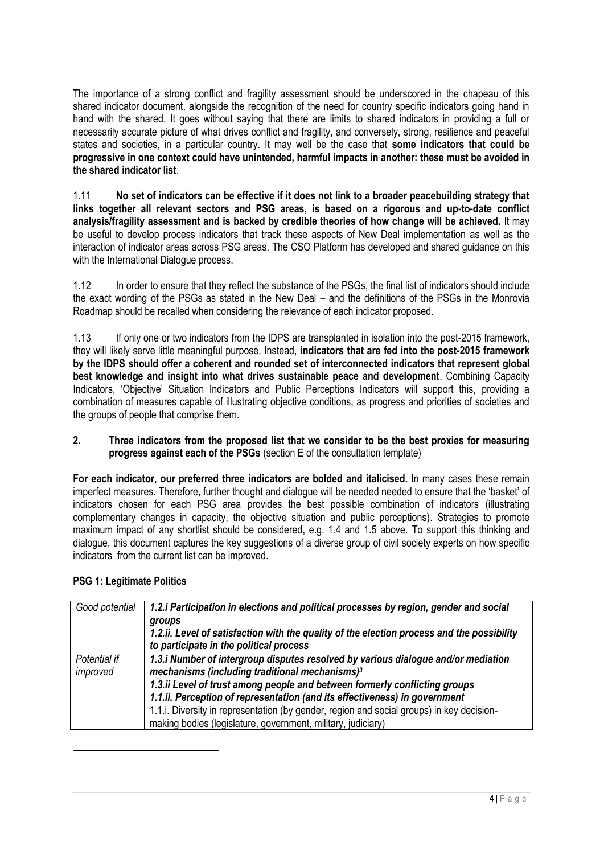The importance of a strong conflict and fragility assessment should be underscored in the chapeau of this shared indicator document, alongside the recognition of the need for country specific indicators going hand in hand with the shared. It goes without saying that there are limits to shared indicators in providing a full or necessarily accurate picture of what drives conflict and fragility, and conversely, strong, resilience and peaceful states and societies, in a particular country. It may well be the case that **some indicators that could be progressive in one context could have unintended, harmful impacts in another: these must be avoided in the shared indicator list**.

1.11 **No set of indicators can be effective if it does not link to a broader peacebuilding strategy that links together all relevant sectors and PSG areas, is based on a rigorous and up-to-date conflict analysis/fragility assessment and is backed by credible theories of how change will be achieved.** It may be useful to develop process indicators that track these aspects of New Deal implementation as well as the interaction of indicator areas across PSG areas. The CSO Platform has developed and shared guidance on this with the International Dialogue process.

1.12 In order to ensure that they reflect the substance of the PSGs, the final list of indicators should include the exact wording of the PSGs as stated in the New Deal – and the definitions of the PSGs in the Monrovia Roadmap should be recalled when considering the relevance of each indicator proposed.

1.13 If only one or two indicators from the IDPS are transplanted in isolation into the post-2015 framework, they will likely serve little meaningful purpose. Instead, **indicators that are fed into the post-2015 framework by the IDPS should offer a coherent and rounded set of interconnected indicators that represent global best knowledge and insight into what drives sustainable peace and development**. Combining Capacity Indicators, 'Objective' Situation Indicators and Public Perceptions Indicators will support this, providing a combination of measures capable of illustrating objective conditions, as progress and priorities of societies and the groups of people that comprise them.

## **2. Three indicators from the proposed list that we consider to be the best proxies for measuring progress against each of the PSGs** (section E of the consultation template)

**For each indicator, our preferred three indicators are bolded and italicised.** In many cases these remain imperfect measures. Therefore, further thought and dialogue will be needed needed to ensure that the 'basket' of indicators chosen for each PSG area provides the best possible combination of indicators (illustrating complementary changes in capacity, the objective situation and public perceptions). Strategies to promote maximum impact of any shortlist should be considered, e.g. 1.4 and 1.5 above. To support this thinking and dialogue, this document captures the key suggestions of a diverse group of civil society experts on how specific indicators from the current list can be improved.

## **PSG 1: Legitimate Politics**

<u>.</u>

| Good potential           | 1.2. iParticipation in elections and political processes by region, gender and social<br>groups<br>1.2.ii. Level of satisfaction with the quality of the election process and the possibility<br>to participate in the political process                                                                                                                                                                                                                                 |
|--------------------------|--------------------------------------------------------------------------------------------------------------------------------------------------------------------------------------------------------------------------------------------------------------------------------------------------------------------------------------------------------------------------------------------------------------------------------------------------------------------------|
| Potential if<br>improved | 1.3.i Number of intergroup disputes resolved by various dialogue and/or mediation<br>mechanisms (including traditional mechanisms) <sup>3</sup><br>1.3.ii Level of trust among people and between formerly conflicting groups<br>1.1.ii. Perception of representation (and its effectiveness) in government<br>1.1.i. Diversity in representation (by gender, region and social groups) in key decision-<br>making bodies (legislature, government, military, judiciary) |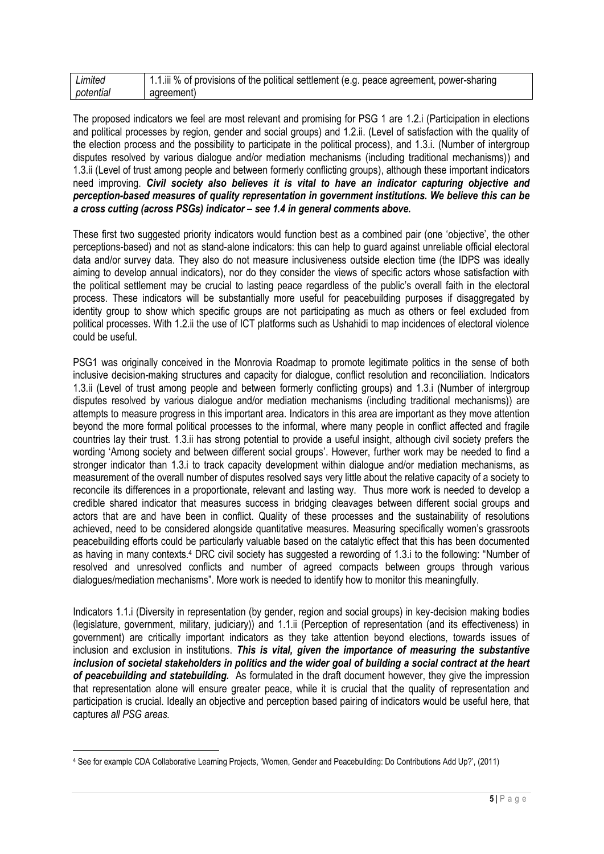| Limited   | 1.1.iii % of provisions of the political settlement (e.g. peace agreement, power-sharing |
|-----------|------------------------------------------------------------------------------------------|
| potential | agreement)                                                                               |

The proposed indicators we feel are most relevant and promising for PSG 1 are 1.2.i (Participation in elections and political processes by region, gender and social groups) and 1.2.ii. (Level of satisfaction with the quality of the election process and the possibility to participate in the political process), and 1.3.i. (Number of intergroup disputes resolved by various dialogue and/or mediation mechanisms (including traditional mechanisms)) and 1.3.ii (Level of trust among people and between formerly conflicting groups), although these important indicators need improving. *Civil society also believes it is vital to have an indicator capturing objective and perception-based measures of quality representation in government institutions. We believe this can be a cross cutting (across PSGs) indicator – see 1.4 in general comments above.*

These first two suggested priority indicators would function best as a combined pair (one 'objective', the other perceptions-based) and not as stand-alone indicators: this can help to guard against unreliable official electoral data and/or survey data. They also do not measure inclusiveness outside election time (the IDPS was ideally aiming to develop annual indicators), nor do they consider the views of specific actors whose satisfaction with the political settlement may be crucial to lasting peace regardless of the public's overall faith in the electoral process. These indicators will be substantially more useful for peacebuilding purposes if disaggregated by identity group to show which specific groups are not participating as much as others or feel excluded from political processes. With 1.2.ii the use of ICT platforms such as Ushahidi to map incidences of electoral violence could be useful.

PSG1 was originally conceived in the Monrovia Roadmap to promote legitimate politics in the sense of both inclusive decision-making structures and capacity for dialogue, conflict resolution and reconciliation. Indicators 1.3.ii (Level of trust among people and between formerly conflicting groups) and 1.3.i (Number of intergroup disputes resolved by various dialogue and/or mediation mechanisms (including traditional mechanisms)) are attempts to measure progress in this important area. Indicators in this area are important as they move attention beyond the more formal political processes to the informal, where many people in conflict affected and fragile countries lay their trust. 1.3.ii has strong potential to provide a useful insight, although civil society prefers the wording 'Among society and between different social groups'. However, further work may be needed to find a stronger indicator than 1.3.i to track capacity development within dialogue and/or mediation mechanisms, as measurement of the overall number of disputes resolved says very little about the relative capacity of a society to reconcile its differences in a proportionate, relevant and lasting way. Thus more work is needed to develop a credible shared indicator that measures success in bridging cleavages between different social groups and actors that are and have been in conflict. Quality of these processes and the sustainability of resolutions achieved, need to be considered alongside quantitative measures. Measuring specifically women's grassroots peacebuilding efforts could be particularly valuable based on the catalytic effect that this has been documented as having in many contexts.<sup>4</sup> DRC civil society has suggested a rewording of 1.3.i to the following: "Number of resolved and unresolved conflicts and number of agreed compacts between groups through various dialogues/mediation mechanisms". More work is needed to identify how to monitor this meaningfully.

Indicators 1.1.i (Diversity in representation (by gender, region and social groups) in key-decision making bodies (legislature, government, military, judiciary)) and 1.1.ii (Perception of representation (and its effectiveness) in government) are critically important indicators as they take attention beyond elections, towards issues of inclusion and exclusion in institutions. *This is vital, given the importance of measuring the substantive inclusion of societal stakeholders in politics and the wider goal of building a social contract at the heart of peacebuilding and statebuilding.* As formulated in the draft document however, they give the impression that representation alone will ensure greater peace, while it is crucial that the quality of representation and participation is crucial. Ideally an objective and perception based pairing of indicators would be useful here, that captures *all PSG areas.* 

<u>.</u>

<sup>4</sup> See for example CDA Collaborative Learning Projects, 'Women, Gender and Peacebuilding: Do Contributions Add Up?', (2011)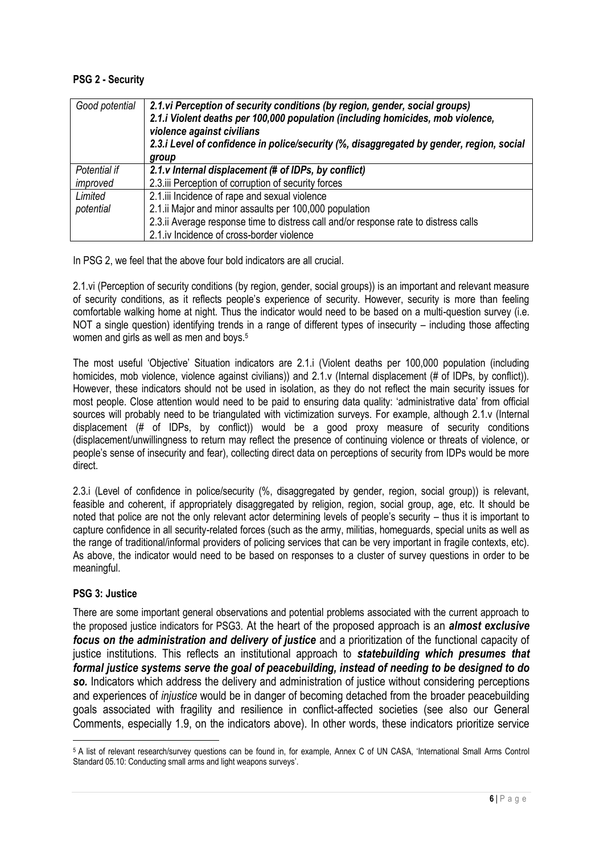## **PSG 2 - Security**

| Good potential | 2.1. vi Perception of security conditions (by region, gender, social groups)<br>2.1.i Violent deaths per 100,000 population (including homicides, mob violence,<br>violence against civilians<br>2.3.i Level of confidence in police/security (%, disaggregated by gender, region, social<br>group |
|----------------|----------------------------------------------------------------------------------------------------------------------------------------------------------------------------------------------------------------------------------------------------------------------------------------------------|
| Potential if   | 2.1.v Internal displacement (# of IDPs, by conflict)                                                                                                                                                                                                                                               |
| improved       | 2.3. iii Perception of corruption of security forces                                                                                                                                                                                                                                               |
| Limited        | 2.1.iii Incidence of rape and sexual violence                                                                                                                                                                                                                                                      |
| potential      | 2.1.ii Major and minor assaults per 100,000 population                                                                                                                                                                                                                                             |
|                | 2.3. ii Average response time to distress call and/or response rate to distress calls                                                                                                                                                                                                              |
|                | 2.1.iv Incidence of cross-border violence                                                                                                                                                                                                                                                          |

In PSG 2, we feel that the above four bold indicators are all crucial.

2.1.vi (Perception of security conditions (by region, gender, social groups)) is an important and relevant measure of security conditions, as it reflects people's experience of security. However, security is more than feeling comfortable walking home at night. Thus the indicator would need to be based on a multi-question survey (i.e. NOT a single question) identifying trends in a range of different types of insecurity – including those affecting women and girls as well as men and boys.<sup>5</sup>

The most useful 'Objective' Situation indicators are 2.1.i (Violent deaths per 100,000 population (including homicides, mob violence, violence against civilians)) and 2.1.y (Internal displacement (# of IDPs, by conflict)). However, these indicators should not be used in isolation, as they do not reflect the main security issues for most people. Close attention would need to be paid to ensuring data quality: 'administrative data' from official sources will probably need to be triangulated with victimization surveys. For example, although 2.1.v (Internal displacement (# of IDPs, by conflict)) would be a good proxy measure of security conditions (displacement/unwillingness to return may reflect the presence of continuing violence or threats of violence, or people's sense of insecurity and fear), collecting direct data on perceptions of security from IDPs would be more direct.

2.3.i (Level of confidence in police/security (%, disaggregated by gender, region, social group)) is relevant, feasible and coherent, if appropriately disaggregated by religion, region, social group, age, etc. It should be noted that police are not the only relevant actor determining levels of people's security – thus it is important to capture confidence in all security-related forces (such as the army, militias, homeguards, special units as well as the range of traditional/informal providers of policing services that can be very important in fragile contexts, etc). As above, the indicator would need to be based on responses to a cluster of survey questions in order to be meaningful.

## **PSG 3: Justice**

There are some important general observations and potential problems associated with the current approach to the proposed justice indicators for PSG3. At the heart of the proposed approach is an *almost exclusive focus on the administration and delivery of justice* and a prioritization of the functional capacity of justice institutions. This reflects an institutional approach to *statebuilding which presumes that formal justice systems serve the goal of peacebuilding, instead of needing to be designed to do*  so. Indicators which address the delivery and administration of justice without considering perceptions and experiences of *injustice* would be in danger of becoming detached from the broader peacebuilding goals associated with fragility and resilience in conflict-affected societies (see also our General Comments, especially 1.9, on the indicators above)*.* In other words, these indicators prioritize service

<sup>1</sup> <sup>5</sup> A list of relevant research/survey questions can be found in, for example, Annex C of UN CASA, 'International Small Arms Control Standard 05.10: Conducting small arms and light weapons surveys'.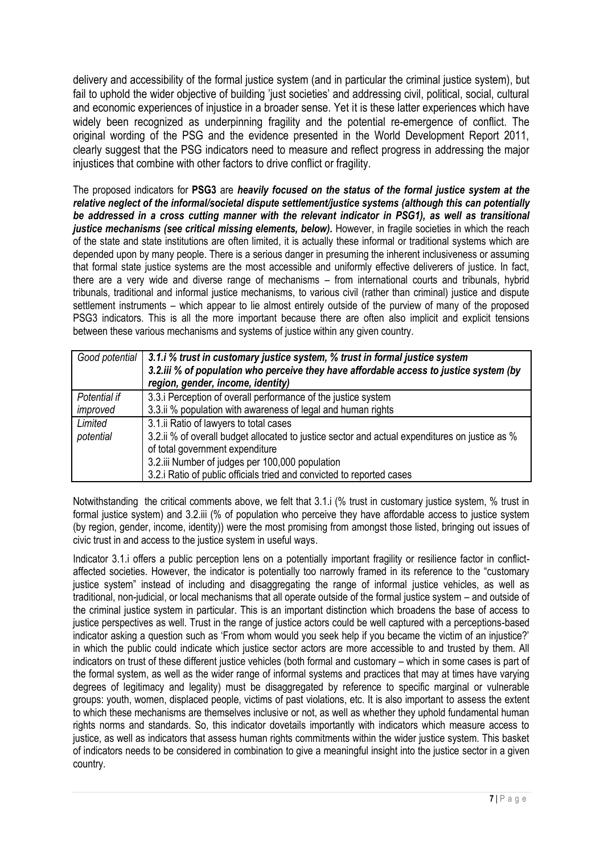delivery and accessibility of the formal justice system (and in particular the criminal justice system), but fail to uphold the wider objective of building 'just societies' and addressing civil, political, social, cultural and economic experiences of injustice in a broader sense. Yet it is these latter experiences which have widely been recognized as underpinning fragility and the potential re-emergence of conflict. The original wording of the PSG and the evidence presented in the World Development Report 2011, clearly suggest that the PSG indicators need to measure and reflect progress in addressing the major injustices that combine with other factors to drive conflict or fragility.

The proposed indicators for **PSG3** are *heavily focused on the status of the formal justice system at the relative neglect of the informal/societal dispute settlement/justice systems (although this can potentially be addressed in a cross cutting manner with the relevant indicator in PSG1), as well as transitional justice mechanisms (see critical missing elements, below).* However, in fragile societies in which the reach of the state and state institutions are often limited, it is actually these informal or traditional systems which are depended upon by many people. There is a serious danger in presuming the inherent inclusiveness or assuming that formal state justice systems are the most accessible and uniformly effective deliverers of justice. In fact, there are a very wide and diverse range of mechanisms – from international courts and tribunals, hybrid tribunals, traditional and informal justice mechanisms, to various civil (rather than criminal) justice and dispute settlement instruments – which appear to lie almost entirely outside of the purview of many of the proposed PSG3 indicators. This is all the more important because there are often also implicit and explicit tensions between these various mechanisms and systems of justice within any given country.

| Good potential           | 3.1.i % trust in customary justice system, % trust in formal justice system<br>3.2.iii % of population who perceive they have affordable access to justice system (by<br>region, gender, income, identity)                                                                                              |
|--------------------------|---------------------------------------------------------------------------------------------------------------------------------------------------------------------------------------------------------------------------------------------------------------------------------------------------------|
| Potential if<br>improved | 3.3. iPerception of overall performance of the justice system<br>3.3.ii % population with awareness of legal and human rights                                                                                                                                                                           |
| Limited<br>potential     | 3.1.ii Ratio of lawyers to total cases<br>3.2.ii % of overall budget allocated to justice sector and actual expenditures on justice as %<br>of total government expenditure<br>3.2.iii Number of judges per 100,000 population<br>3.2.i Ratio of public officials tried and convicted to reported cases |

Notwithstanding the critical comments above, we felt that 3.1.i (% trust in customary justice system, % trust in formal justice system) and 3.2.iii (% of population who perceive they have affordable access to justice system (by region, gender, income, identity)) were the most promising from amongst those listed, bringing out issues of civic trust in and access to the justice system in useful ways.

Indicator 3.1.i offers a public perception lens on a potentially important fragility or resilience factor in conflictaffected societies. However, the indicator is potentially too narrowly framed in its reference to the "customary justice system" instead of including and disaggregating the range of informal justice vehicles, as well as traditional, non-judicial, or local mechanisms that all operate outside of the formal justice system – and outside of the criminal justice system in particular. This is an important distinction which broadens the base of access to justice perspectives as well. Trust in the range of justice actors could be well captured with a perceptions-based indicator asking a question such as 'From whom would you seek help if you became the victim of an injustice?' in which the public could indicate which justice sector actors are more accessible to and trusted by them. All indicators on trust of these different justice vehicles (both formal and customary – which in some cases is part of the formal system, as well as the wider range of informal systems and practices that may at times have varying degrees of legitimacy and legality) must be disaggregated by reference to specific marginal or vulnerable groups: youth, women, displaced people, victims of past violations, etc. It is also important to assess the extent to which these mechanisms are themselves inclusive or not, as well as whether they uphold fundamental human rights norms and standards. So, this indicator dovetails importantly with indicators which measure access to justice, as well as indicators that assess human rights commitments within the wider justice system. This basket of indicators needs to be considered in combination to give a meaningful insight into the justice sector in a given country.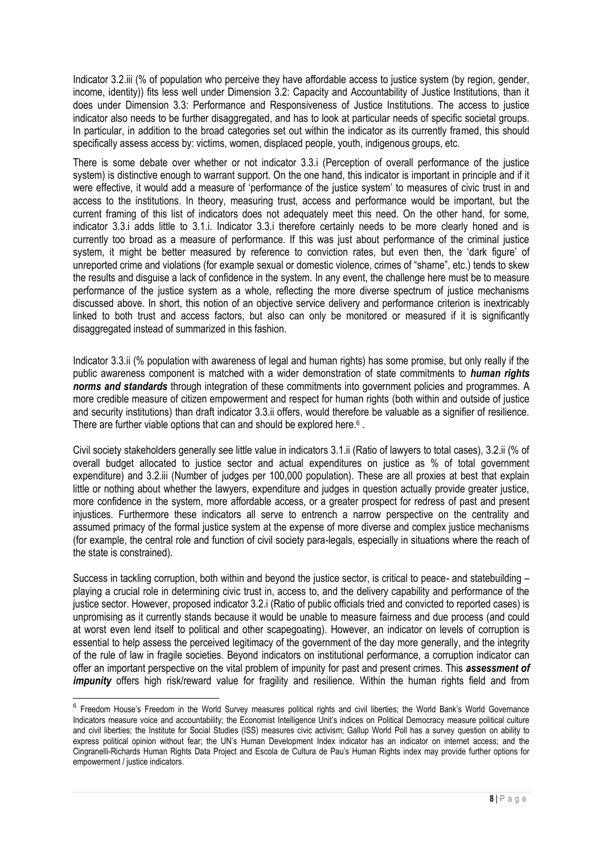Indicator 3.2.iii (% of population who perceive they have affordable access to justice system (by region, gender, income, identity)) fits less well under Dimension 3.2: Capacity and Accountability of Justice Institutions, than it does under Dimension 3.3: Performance and Responsiveness of Justice Institutions. The access to justice indicator also needs to be further disaggregated, and has to look at particular needs of specific societal groups. In particular, in addition to the broad categories set out within the indicator as its currently framed, this should specifically assess access by: victims, women, displaced people, youth, indigenous groups, etc.

There is some debate over whether or not indicator 3.3.i (Perception of overall performance of the justice system) is distinctive enough to warrant support. On the one hand, this indicator is important in principle and if it were effective, it would add a measure of 'performance of the justice system' to measures of civic trust in and access to the institutions. In theory, measuring trust, access and performance would be important, but the current framing of this list of indicators does not adequately meet this need. On the other hand, for some, indicator 3.3.i adds little to 3.1.i. Indicator 3.3.i therefore certainly needs to be more clearly honed and is currently too broad as a measure of performance. If this was just about performance of the criminal justice system, it might be better measured by reference to conviction rates, but even then, the 'dark figure' of unreported crime and violations (for example sexual or domestic violence, crimes of "shame", etc.) tends to skew the results and disguise a lack of confidence in the system. In any event, the challenge here must be to measure performance of the justice system as a whole, reflecting the more diverse spectrum of justice mechanisms discussed above. In short, this notion of an objective service delivery and performance criterion is inextricably linked to both trust and access factors, but also can only be monitored or measured if it is significantly disaggregated instead of summarized in this fashion.

Indicator 3.3.ii (% population with awareness of legal and human rights) has some promise, but only really if the public awareness component is matched with a wider demonstration of state commitments to *human rights norms and standards* through integration of these commitments into government policies and programmes. A more credible measure of citizen empowerment and respect for human rights (both within and outside of justice and security institutions) than draft indicator 3.3.ii offers, would therefore be valuable as a signifier of resilience. There are further viable options that can and should be explored here.<sup>6</sup>.

Civil society stakeholders generally see little value in indicators 3.1.ii (Ratio of lawyers to total cases), 3.2.ii (% of overall budget allocated to justice sector and actual expenditures on justice as % of total government expenditure) and 3.2.iii (Number of judges per 100,000 population). These are all proxies at best that explain little or nothing about whether the lawyers, expenditure and judges in question actually provide greater justice, more confidence in the system, more affordable access, or a greater prospect for redress of past and present injustices. Furthermore these indicators all serve to entrench a narrow perspective on the centrality and assumed primacy of the formal justice system at the expense of more diverse and complex justice mechanisms (for example, the central role and function of civil society para-legals, especially in situations where the reach of the state is constrained).

Success in tackling corruption, both within and beyond the justice sector, is critical to peace- and statebuilding – playing a crucial role in determining civic trust in, access to, and the delivery capability and performance of the justice sector. However, proposed indicator 3.2.i (Ratio of public officials tried and convicted to reported cases) is unpromising as it currently stands because it would be unable to measure fairness and due process (and could at worst even lend itself to political and other scapegoating). However, an indicator on levels of corruption is essential to help assess the perceived legitimacy of the government of the day more generally, and the integrity of the rule of law in fragile societies. Beyond indicators on institutional performance, a corruption indicator can offer an important perspective on the vital problem of impunity for past and present crimes. This *assessment of impunity* offers high risk/reward value for fragility and resilience. Within the human rights field and from

 6 Freedom House's Freedom in the World Survey measures political rights and civil liberties; the World Bank's World Governance Indicators measure voice and accountability; the Economist Intelligence Unit's indices on Political Democracy measure political culture and civil liberties; the Institute for Social Studies (ISS) measures civic activism; Gallup World Poll has a survey question on ability to express political opinion without fear; the UN's Human Development Index indicator has an indicator on internet access; and the Cingranelli-Richards Human Rights Data Project and Escola de Cultura de Pau's Human Rights index may provide further options for empowerment / justice indicators.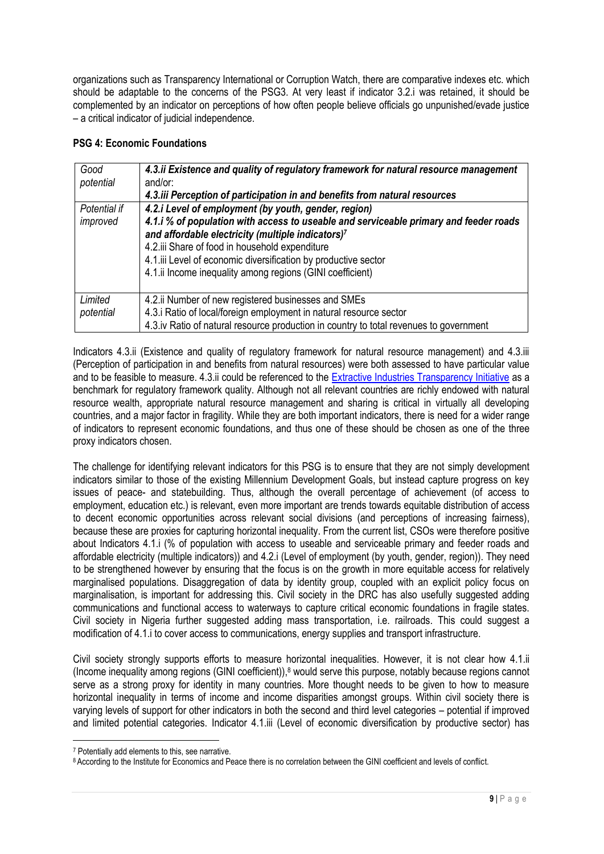organizations such as Transparency International or Corruption Watch, there are comparative indexes etc. which should be adaptable to the concerns of the PSG3. At very least if indicator 3.2.i was retained, it should be complemented by an indicator on perceptions of how often people believe officials go unpunished/evade justice – a critical indicator of judicial independence.

## **PSG 4: Economic Foundations**

| Good         | 4.3.ii Existence and quality of regulatory framework for natural resource management   |  |  |
|--------------|----------------------------------------------------------------------------------------|--|--|
| potential    | and/or:                                                                                |  |  |
|              | 4.3.iii Perception of participation in and benefits from natural resources             |  |  |
| Potential if | 4.2.i Level of employment (by youth, gender, region)                                   |  |  |
| improved     | 4.1.i % of population with access to useable and serviceable primary and feeder roads  |  |  |
|              | and affordable electricity (multiple indicators)7                                      |  |  |
|              | 4.2.iii Share of food in household expenditure                                         |  |  |
|              | 4.1.iii Level of economic diversification by productive sector                         |  |  |
|              | 4.1.ii Income inequality among regions (GINI coefficient)                              |  |  |
|              |                                                                                        |  |  |
| Limited      | 4.2. ii Number of new registered businesses and SMEs                                   |  |  |
| potential    | 4.3.i Ratio of local/foreign employment in natural resource sector                     |  |  |
|              | 4.3.iv Ratio of natural resource production in country to total revenues to government |  |  |

Indicators 4.3.ii (Existence and quality of regulatory framework for natural resource management) and 4.3.iii (Perception of participation in and benefits from natural resources) were both assessed to have particular value and to be feasible to measure. 4.3.ii could be referenced to the [Extractive Industries Transparency Initiative](http://eiti.org/eiti) as a benchmark for regulatory framework quality. Although not all relevant countries are richly endowed with natural resource wealth, appropriate natural resource management and sharing is critical in virtually all developing countries, and a major factor in fragility. While they are both important indicators, there is need for a wider range of indicators to represent economic foundations, and thus one of these should be chosen as one of the three proxy indicators chosen.

The challenge for identifying relevant indicators for this PSG is to ensure that they are not simply development indicators similar to those of the existing Millennium Development Goals, but instead capture progress on key issues of peace- and statebuilding. Thus, although the overall percentage of achievement (of access to employment, education etc.) is relevant, even more important are trends towards equitable distribution of access to decent economic opportunities across relevant social divisions (and perceptions of increasing fairness), because these are proxies for capturing horizontal inequality. From the current list, CSOs were therefore positive about Indicators 4.1.i (% of population with access to useable and serviceable primary and feeder roads and affordable electricity (multiple indicators)) and 4.2.i (Level of employment (by youth, gender, region)). They need to be strengthened however by ensuring that the focus is on the growth in more equitable access for relatively marginalised populations. Disaggregation of data by identity group, coupled with an explicit policy focus on marginalisation, is important for addressing this. Civil society in the DRC has also usefully suggested adding communications and functional access to waterways to capture critical economic foundations in fragile states. Civil society in Nigeria further suggested adding mass transportation, i.e. railroads. This could suggest a modification of 4.1.i to cover access to communications, energy supplies and transport infrastructure.

Civil society strongly supports efforts to measure horizontal inequalities. However, it is not clear how 4.1.ii (Income inequality among regions (GINI coefficient)), $8$  would serve this purpose, notably because regions cannot serve as a strong proxy for identity in many countries. More thought needs to be given to how to measure horizontal inequality in terms of income and income disparities amongst groups. Within civil society there is varying levels of support for other indicators in both the second and third level categories – potential if improved and limited potential categories. Indicator 4.1.iii (Level of economic diversification by productive sector) has

1

<sup>7</sup> Potentially add elements to this, see narrative.

<sup>8</sup> According to the Institute for Economics and Peace there is no correlation between the GINI coefficient and levels of conflict.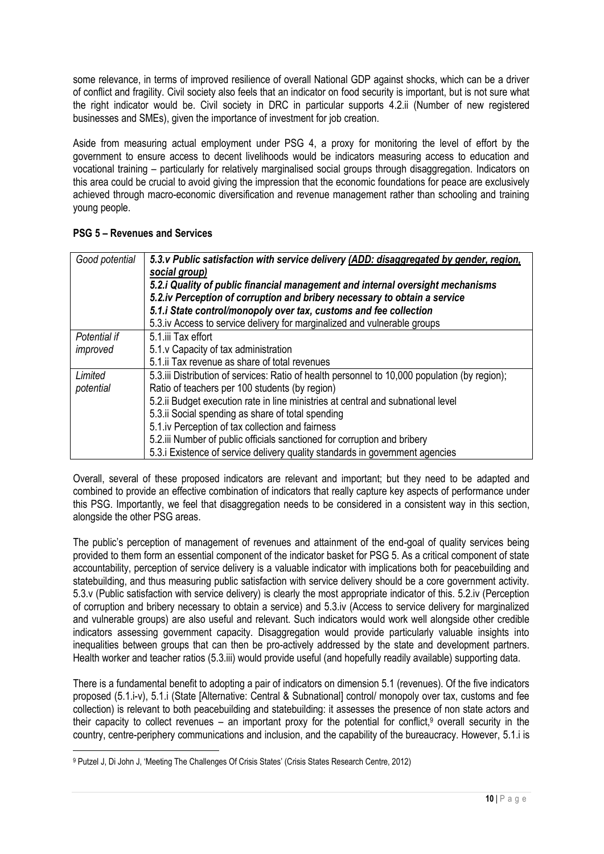some relevance, in terms of improved resilience of overall National GDP against shocks, which can be a driver of conflict and fragility. Civil society also feels that an indicator on food security is important, but is not sure what the right indicator would be. Civil society in DRC in particular supports 4.2.ii (Number of new registered businesses and SMEs), given the importance of investment for job creation.

Aside from measuring actual employment under PSG 4, a proxy for monitoring the level of effort by the government to ensure access to decent livelihoods would be indicators measuring access to education and vocational training – particularly for relatively marginalised social groups through disaggregation. Indicators on this area could be crucial to avoid giving the impression that the economic foundations for peace are exclusively achieved through macro-economic diversification and revenue management rather than schooling and training young people.

| Good potential | 5.3. v Public satisfaction with service delivery (ADD: disaggregated by gender, region,<br>social group)<br>5.2.i Quality of public financial management and internal oversight mechanisms<br>5.2.iv Perception of corruption and bribery necessary to obtain a service<br>5.1.i State control/monopoly over tax, customs and fee collection<br>5.3.iv Access to service delivery for marginalized and vulnerable groups |
|----------------|--------------------------------------------------------------------------------------------------------------------------------------------------------------------------------------------------------------------------------------------------------------------------------------------------------------------------------------------------------------------------------------------------------------------------|
| Potential if   | 5.1.iii Tax effort                                                                                                                                                                                                                                                                                                                                                                                                       |
| improved       | 5.1. v Capacity of tax administration                                                                                                                                                                                                                                                                                                                                                                                    |
|                | 5.1. ii Tax revenue as share of total revenues                                                                                                                                                                                                                                                                                                                                                                           |
| Limited        | 5.3. iii Distribution of services: Ratio of health personnel to 10,000 population (by region);                                                                                                                                                                                                                                                                                                                           |
| potential      | Ratio of teachers per 100 students (by region)                                                                                                                                                                                                                                                                                                                                                                           |
|                | 5.2. ii Budget execution rate in line ministries at central and subnational level                                                                                                                                                                                                                                                                                                                                        |
|                | 5.3. ii Social spending as share of total spending                                                                                                                                                                                                                                                                                                                                                                       |
|                | 5.1.iv Perception of tax collection and fairness                                                                                                                                                                                                                                                                                                                                                                         |
|                | 5.2. iii Number of public officials sanctioned for corruption and bribery                                                                                                                                                                                                                                                                                                                                                |
|                | 5.3. Existence of service delivery quality standards in government agencies                                                                                                                                                                                                                                                                                                                                              |

## **PSG 5 – Revenues and Services**

Overall, several of these proposed indicators are relevant and important; but they need to be adapted and combined to provide an effective combination of indicators that really capture key aspects of performance under this PSG. Importantly, we feel that disaggregation needs to be considered in a consistent way in this section, alongside the other PSG areas.

The public's perception of management of revenues and attainment of the end-goal of quality services being provided to them form an essential component of the indicator basket for PSG 5. As a critical component of state accountability, perception of service delivery is a valuable indicator with implications both for peacebuilding and statebuilding, and thus measuring public satisfaction with service delivery should be a core government activity. 5.3.v (Public satisfaction with service delivery) is clearly the most appropriate indicator of this. 5.2.iv (Perception of corruption and bribery necessary to obtain a service) and 5.3.iv (Access to service delivery for marginalized and vulnerable groups) are also useful and relevant. Such indicators would work well alongside other credible indicators assessing government capacity. Disaggregation would provide particularly valuable insights into inequalities between groups that can then be pro-actively addressed by the state and development partners. Health worker and teacher ratios (5.3.iii) would provide useful (and hopefully readily available) supporting data.

There is a fundamental benefit to adopting a pair of indicators on dimension 5.1 (revenues). Of the five indicators proposed (5.1.i-v), 5.1.i (State [Alternative: Central & Subnational] control/ monopoly over tax, customs and fee collection) is relevant to both peacebuilding and statebuilding: it assesses the presence of non state actors and their capacity to collect revenues – an important proxy for the potential for conflict,<sup>9</sup> overall security in the country, centre-periphery communications and inclusion, and the capability of the bureaucracy. However, 5.1.i is

<u>.</u>

<sup>9</sup> Putzel J, Di John J, 'Meeting The Challenges Of Crisis States' (Crisis States Research Centre, 2012)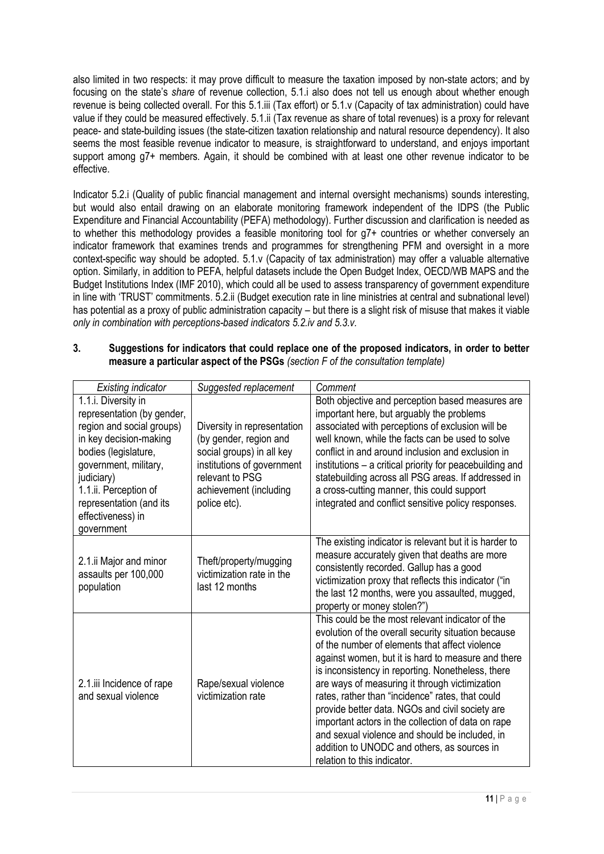also limited in two respects: it may prove difficult to measure the taxation imposed by non-state actors; and by focusing on the state's *share* of revenue collection, 5.1.i also does not tell us enough about whether enough revenue is being collected overall. For this 5.1.iii (Tax effort) or 5.1.v (Capacity of tax administration) could have value if they could be measured effectively. 5.1.ii (Tax revenue as share of total revenues) is a proxy for relevant peace- and state-building issues (the state-citizen taxation relationship and natural resource dependency). It also seems the most feasible revenue indicator to measure, is straightforward to understand, and enjoys important support among g7+ members. Again, it should be combined with at least one other revenue indicator to be effective.

Indicator 5.2.i (Quality of public financial management and internal oversight mechanisms) sounds interesting, but would also entail drawing on an elaborate monitoring framework independent of the IDPS (the Public Expenditure and Financial Accountability (PEFA) methodology). Further discussion and clarification is needed as to whether this methodology provides a feasible monitoring tool for g7+ countries or whether conversely an indicator framework that examines trends and programmes for strengthening PFM and oversight in a more context-specific way should be adopted. 5.1.v (Capacity of tax administration) may offer a valuable alternative option. Similarly, in addition to PEFA, helpful datasets include the Open Budget Index, OECD/WB MAPS and the Budget Institutions Index (IMF 2010), which could all be used to assess transparency of government expenditure in line with 'TRUST' commitments. 5.2.ii (Budget execution rate in line ministries at central and subnational level) has potential as a proxy of public administration capacity – but there is a slight risk of misuse that makes it viable *only in combination with perceptions-based indicators 5.2.iv and 5.3.v.*

| ა. | Suggestions for indicators that could replace one of the proposed indicators, in order to better |
|----|--------------------------------------------------------------------------------------------------|
|    | measure a particular aspect of the PSGs (section F of the consultation template)                 |

| <b>Existing indicator</b>           | Suggested replacement                         | Comment                                                                                               |
|-------------------------------------|-----------------------------------------------|-------------------------------------------------------------------------------------------------------|
| 1.1.i. Diversity in                 |                                               | Both objective and perception based measures are                                                      |
| representation (by gender,          |                                               | important here, but arguably the problems                                                             |
| region and social groups)           | Diversity in representation                   | associated with perceptions of exclusion will be                                                      |
| in key decision-making              | (by gender, region and                        | well known, while the facts can be used to solve                                                      |
| bodies (legislature,                | social groups) in all key                     | conflict in and around inclusion and exclusion in                                                     |
| government, military,               | institutions of government<br>relevant to PSG | institutions - a critical priority for peacebuilding and                                              |
| judiciary)<br>1.1.ii. Perception of | achievement (including                        | statebuilding across all PSG areas. If addressed in<br>a cross-cutting manner, this could support     |
| representation (and its             | police etc).                                  | integrated and conflict sensitive policy responses.                                                   |
| effectiveness) in                   |                                               |                                                                                                       |
| government                          |                                               |                                                                                                       |
|                                     |                                               | The existing indicator is relevant but it is harder to                                                |
| 2.1. ii Major and minor             | Theft/property/mugging                        | measure accurately given that deaths are more                                                         |
| assaults per 100,000                | victimization rate in the                     | consistently recorded. Gallup has a good                                                              |
| population                          | last 12 months                                | victimization proxy that reflects this indicator ("in                                                 |
|                                     |                                               | the last 12 months, were you assaulted, mugged,                                                       |
|                                     |                                               | property or money stolen?")                                                                           |
|                                     |                                               | This could be the most relevant indicator of the                                                      |
|                                     |                                               | evolution of the overall security situation because<br>of the number of elements that affect violence |
|                                     |                                               | against women, but it is hard to measure and there                                                    |
|                                     |                                               | is inconsistency in reporting. Nonetheless, there                                                     |
| 2.1.iii Incidence of rape           | Rape/sexual violence                          | are ways of measuring it through victimization                                                        |
| and sexual violence                 | victimization rate                            | rates, rather than "incidence" rates, that could                                                      |
|                                     |                                               | provide better data. NGOs and civil society are                                                       |
|                                     |                                               | important actors in the collection of data on rape                                                    |
|                                     |                                               | and sexual violence and should be included, in                                                        |
|                                     |                                               | addition to UNODC and others, as sources in                                                           |
|                                     |                                               | relation to this indicator.                                                                           |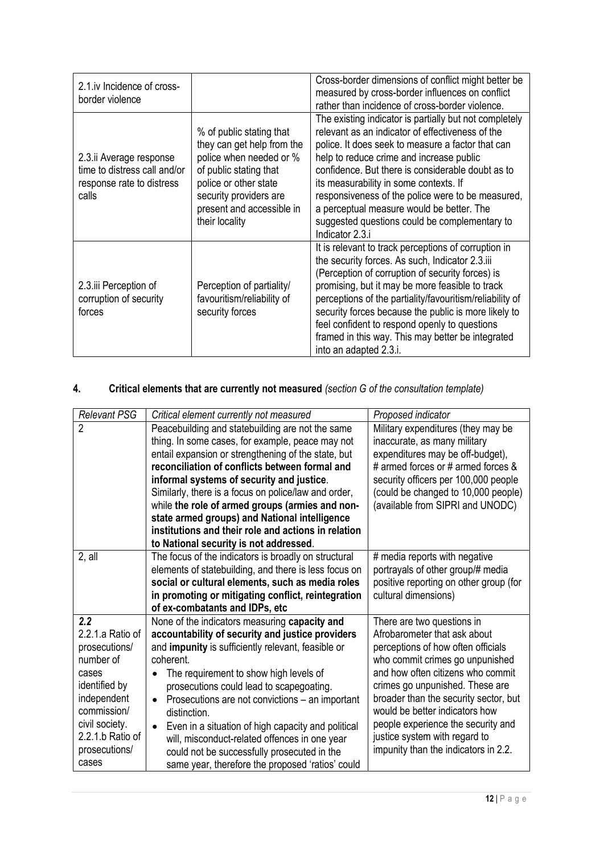| 2.1.iv Incidence of cross-<br>border violence                                                 |                                                                                                                                                                                                               | Cross-border dimensions of conflict might better be<br>measured by cross-border influences on conflict<br>rather than incidence of cross-border violence.                                                                                                                                                                                                                                                                                                                        |
|-----------------------------------------------------------------------------------------------|---------------------------------------------------------------------------------------------------------------------------------------------------------------------------------------------------------------|----------------------------------------------------------------------------------------------------------------------------------------------------------------------------------------------------------------------------------------------------------------------------------------------------------------------------------------------------------------------------------------------------------------------------------------------------------------------------------|
| 2.3.ii Average response<br>time to distress call and/or<br>response rate to distress<br>calls | % of public stating that<br>they can get help from the<br>police when needed or %<br>of public stating that<br>police or other state<br>security providers are<br>present and accessible in<br>their locality | The existing indicator is partially but not completely<br>relevant as an indicator of effectiveness of the<br>police. It does seek to measure a factor that can<br>help to reduce crime and increase public<br>confidence. But there is considerable doubt as to<br>its measurability in some contexts. If<br>responsiveness of the police were to be measured,<br>a perceptual measure would be better. The<br>suggested questions could be complementary to<br>Indicator 2.3.i |
| 2.3.iii Perception of<br>corruption of security<br>forces                                     | Perception of partiality/<br>favouritism/reliability of<br>security forces                                                                                                                                    | It is relevant to track perceptions of corruption in<br>the security forces. As such, Indicator 2.3.iii<br>(Perception of corruption of security forces) is<br>promising, but it may be more feasible to track<br>perceptions of the partiality/favouritism/reliability of<br>security forces because the public is more likely to<br>feel confident to respond openly to questions<br>framed in this way. This may better be integrated<br>into an adapted 2.3.i.               |

# **4. Critical elements that are currently not measured** *(section G of the consultation template)*

| <b>Relevant PSG</b><br>Critical element currently not measured<br>Proposed indicator<br>$\overline{2}$<br>Peacebuilding and statebuilding are not the same<br>Military expenditures (they may be<br>thing. In some cases, for example, peace may not<br>inaccurate, as many military<br>entail expansion or strengthening of the state, but<br>expenditures may be off-budget),<br># armed forces or # armed forces &<br>reconciliation of conflicts between formal and<br>security officers per 100,000 people<br>informal systems of security and justice.<br>Similarly, there is a focus on police/law and order,<br>(could be changed to 10,000 people)<br>while the role of armed groups (armies and non-<br>(available from SIPRI and UNODC)<br>state armed groups) and National intelligence<br>institutions and their role and actions in relation<br>to National security is not addressed.<br>2, all<br>The focus of the indicators is broadly on structural<br># media reports with negative<br>elements of statebuilding, and there is less focus on<br>portrayals of other group/# media<br>social or cultural elements, such as media roles<br>positive reporting on other group (for<br>in promoting or mitigating conflict, reintegration<br>cultural dimensions)<br>of ex-combatants and IDPs, etc<br>2.2<br>None of the indicators measuring capacity and<br>There are two questions in<br>2.2.1.a Ratio of<br>Afrobarometer that ask about<br>accountability of security and justice providers<br>and impunity is sufficiently relevant, feasible or<br>prosecutions/<br>perceptions of how often officials<br>number of<br>who commit crimes go unpunished<br>coherent. |
|---------------------------------------------------------------------------------------------------------------------------------------------------------------------------------------------------------------------------------------------------------------------------------------------------------------------------------------------------------------------------------------------------------------------------------------------------------------------------------------------------------------------------------------------------------------------------------------------------------------------------------------------------------------------------------------------------------------------------------------------------------------------------------------------------------------------------------------------------------------------------------------------------------------------------------------------------------------------------------------------------------------------------------------------------------------------------------------------------------------------------------------------------------------------------------------------------------------------------------------------------------------------------------------------------------------------------------------------------------------------------------------------------------------------------------------------------------------------------------------------------------------------------------------------------------------------------------------------------------------------------------------------------------------------------------------------|
|                                                                                                                                                                                                                                                                                                                                                                                                                                                                                                                                                                                                                                                                                                                                                                                                                                                                                                                                                                                                                                                                                                                                                                                                                                                                                                                                                                                                                                                                                                                                                                                                                                                                                             |
|                                                                                                                                                                                                                                                                                                                                                                                                                                                                                                                                                                                                                                                                                                                                                                                                                                                                                                                                                                                                                                                                                                                                                                                                                                                                                                                                                                                                                                                                                                                                                                                                                                                                                             |
|                                                                                                                                                                                                                                                                                                                                                                                                                                                                                                                                                                                                                                                                                                                                                                                                                                                                                                                                                                                                                                                                                                                                                                                                                                                                                                                                                                                                                                                                                                                                                                                                                                                                                             |
|                                                                                                                                                                                                                                                                                                                                                                                                                                                                                                                                                                                                                                                                                                                                                                                                                                                                                                                                                                                                                                                                                                                                                                                                                                                                                                                                                                                                                                                                                                                                                                                                                                                                                             |
|                                                                                                                                                                                                                                                                                                                                                                                                                                                                                                                                                                                                                                                                                                                                                                                                                                                                                                                                                                                                                                                                                                                                                                                                                                                                                                                                                                                                                                                                                                                                                                                                                                                                                             |
|                                                                                                                                                                                                                                                                                                                                                                                                                                                                                                                                                                                                                                                                                                                                                                                                                                                                                                                                                                                                                                                                                                                                                                                                                                                                                                                                                                                                                                                                                                                                                                                                                                                                                             |
|                                                                                                                                                                                                                                                                                                                                                                                                                                                                                                                                                                                                                                                                                                                                                                                                                                                                                                                                                                                                                                                                                                                                                                                                                                                                                                                                                                                                                                                                                                                                                                                                                                                                                             |
|                                                                                                                                                                                                                                                                                                                                                                                                                                                                                                                                                                                                                                                                                                                                                                                                                                                                                                                                                                                                                                                                                                                                                                                                                                                                                                                                                                                                                                                                                                                                                                                                                                                                                             |
|                                                                                                                                                                                                                                                                                                                                                                                                                                                                                                                                                                                                                                                                                                                                                                                                                                                                                                                                                                                                                                                                                                                                                                                                                                                                                                                                                                                                                                                                                                                                                                                                                                                                                             |
|                                                                                                                                                                                                                                                                                                                                                                                                                                                                                                                                                                                                                                                                                                                                                                                                                                                                                                                                                                                                                                                                                                                                                                                                                                                                                                                                                                                                                                                                                                                                                                                                                                                                                             |
|                                                                                                                                                                                                                                                                                                                                                                                                                                                                                                                                                                                                                                                                                                                                                                                                                                                                                                                                                                                                                                                                                                                                                                                                                                                                                                                                                                                                                                                                                                                                                                                                                                                                                             |
|                                                                                                                                                                                                                                                                                                                                                                                                                                                                                                                                                                                                                                                                                                                                                                                                                                                                                                                                                                                                                                                                                                                                                                                                                                                                                                                                                                                                                                                                                                                                                                                                                                                                                             |
|                                                                                                                                                                                                                                                                                                                                                                                                                                                                                                                                                                                                                                                                                                                                                                                                                                                                                                                                                                                                                                                                                                                                                                                                                                                                                                                                                                                                                                                                                                                                                                                                                                                                                             |
|                                                                                                                                                                                                                                                                                                                                                                                                                                                                                                                                                                                                                                                                                                                                                                                                                                                                                                                                                                                                                                                                                                                                                                                                                                                                                                                                                                                                                                                                                                                                                                                                                                                                                             |
|                                                                                                                                                                                                                                                                                                                                                                                                                                                                                                                                                                                                                                                                                                                                                                                                                                                                                                                                                                                                                                                                                                                                                                                                                                                                                                                                                                                                                                                                                                                                                                                                                                                                                             |
|                                                                                                                                                                                                                                                                                                                                                                                                                                                                                                                                                                                                                                                                                                                                                                                                                                                                                                                                                                                                                                                                                                                                                                                                                                                                                                                                                                                                                                                                                                                                                                                                                                                                                             |
|                                                                                                                                                                                                                                                                                                                                                                                                                                                                                                                                                                                                                                                                                                                                                                                                                                                                                                                                                                                                                                                                                                                                                                                                                                                                                                                                                                                                                                                                                                                                                                                                                                                                                             |
|                                                                                                                                                                                                                                                                                                                                                                                                                                                                                                                                                                                                                                                                                                                                                                                                                                                                                                                                                                                                                                                                                                                                                                                                                                                                                                                                                                                                                                                                                                                                                                                                                                                                                             |
|                                                                                                                                                                                                                                                                                                                                                                                                                                                                                                                                                                                                                                                                                                                                                                                                                                                                                                                                                                                                                                                                                                                                                                                                                                                                                                                                                                                                                                                                                                                                                                                                                                                                                             |
|                                                                                                                                                                                                                                                                                                                                                                                                                                                                                                                                                                                                                                                                                                                                                                                                                                                                                                                                                                                                                                                                                                                                                                                                                                                                                                                                                                                                                                                                                                                                                                                                                                                                                             |
| and how often citizens who commit<br>cases<br>The requirement to show high levels of                                                                                                                                                                                                                                                                                                                                                                                                                                                                                                                                                                                                                                                                                                                                                                                                                                                                                                                                                                                                                                                                                                                                                                                                                                                                                                                                                                                                                                                                                                                                                                                                        |
| identified by<br>crimes go unpunished. These are<br>prosecutions could lead to scapegoating.                                                                                                                                                                                                                                                                                                                                                                                                                                                                                                                                                                                                                                                                                                                                                                                                                                                                                                                                                                                                                                                                                                                                                                                                                                                                                                                                                                                                                                                                                                                                                                                                |
| independent<br>broader than the security sector, but<br>Prosecutions are not convictions - an important<br>$\bullet$                                                                                                                                                                                                                                                                                                                                                                                                                                                                                                                                                                                                                                                                                                                                                                                                                                                                                                                                                                                                                                                                                                                                                                                                                                                                                                                                                                                                                                                                                                                                                                        |
| commission/<br>would be better indicators how<br>distinction.                                                                                                                                                                                                                                                                                                                                                                                                                                                                                                                                                                                                                                                                                                                                                                                                                                                                                                                                                                                                                                                                                                                                                                                                                                                                                                                                                                                                                                                                                                                                                                                                                               |
| civil society.<br>people experience the security and<br>Even in a situation of high capacity and political<br>$\bullet$                                                                                                                                                                                                                                                                                                                                                                                                                                                                                                                                                                                                                                                                                                                                                                                                                                                                                                                                                                                                                                                                                                                                                                                                                                                                                                                                                                                                                                                                                                                                                                     |
| 2.2.1.b Ratio of<br>justice system with regard to<br>will, misconduct-related offences in one year                                                                                                                                                                                                                                                                                                                                                                                                                                                                                                                                                                                                                                                                                                                                                                                                                                                                                                                                                                                                                                                                                                                                                                                                                                                                                                                                                                                                                                                                                                                                                                                          |
| impunity than the indicators in 2.2.<br>prosecutions/<br>could not be successfully prosecuted in the                                                                                                                                                                                                                                                                                                                                                                                                                                                                                                                                                                                                                                                                                                                                                                                                                                                                                                                                                                                                                                                                                                                                                                                                                                                                                                                                                                                                                                                                                                                                                                                        |
| cases<br>same year, therefore the proposed 'ratios' could                                                                                                                                                                                                                                                                                                                                                                                                                                                                                                                                                                                                                                                                                                                                                                                                                                                                                                                                                                                                                                                                                                                                                                                                                                                                                                                                                                                                                                                                                                                                                                                                                                   |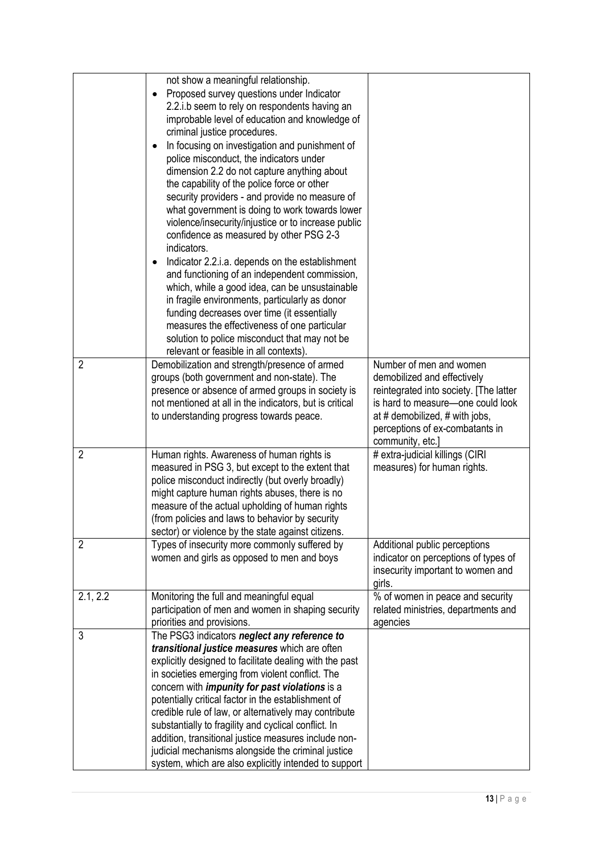| $\overline{2}$ | not show a meaningful relationship.<br>Proposed survey questions under Indicator<br>$\bullet$<br>2.2.i.b seem to rely on respondents having an<br>improbable level of education and knowledge of<br>criminal justice procedures.<br>In focusing on investigation and punishment of<br>$\bullet$<br>police misconduct, the indicators under<br>dimension 2.2 do not capture anything about<br>the capability of the police force or other<br>security providers - and provide no measure of<br>what government is doing to work towards lower<br>violence/insecurity/injustice or to increase public<br>confidence as measured by other PSG 2-3<br>indicators.<br>Indicator 2.2.i.a. depends on the establishment<br>$\bullet$<br>and functioning of an independent commission,<br>which, while a good idea, can be unsustainable<br>in fragile environments, particularly as donor<br>funding decreases over time (it essentially<br>measures the effectiveness of one particular<br>solution to police misconduct that may not be<br>relevant or feasible in all contexts).<br>Demobilization and strength/presence of armed<br>groups (both government and non-state). The<br>presence or absence of armed groups in society is<br>not mentioned at all in the indicators, but is critical<br>to understanding progress towards peace. | Number of men and women<br>demobilized and effectively<br>reintegrated into society. [The latter<br>is hard to measure-one could look<br>at # demobilized, # with jobs,<br>perceptions of ex-combatants in |
|----------------|------------------------------------------------------------------------------------------------------------------------------------------------------------------------------------------------------------------------------------------------------------------------------------------------------------------------------------------------------------------------------------------------------------------------------------------------------------------------------------------------------------------------------------------------------------------------------------------------------------------------------------------------------------------------------------------------------------------------------------------------------------------------------------------------------------------------------------------------------------------------------------------------------------------------------------------------------------------------------------------------------------------------------------------------------------------------------------------------------------------------------------------------------------------------------------------------------------------------------------------------------------------------------------------------------------------------------------------|------------------------------------------------------------------------------------------------------------------------------------------------------------------------------------------------------------|
| $\overline{2}$ | Human rights. Awareness of human rights is<br>measured in PSG 3, but except to the extent that<br>police misconduct indirectly (but overly broadly)<br>might capture human rights abuses, there is no<br>measure of the actual upholding of human rights<br>(from policies and laws to behavior by security<br>sector) or violence by the state against citizens.                                                                                                                                                                                                                                                                                                                                                                                                                                                                                                                                                                                                                                                                                                                                                                                                                                                                                                                                                                        | community, etc.]<br># extra-judicial killings (CIRI<br>measures) for human rights.                                                                                                                         |
| $\overline{2}$ | Types of insecurity more commonly suffered by<br>women and girls as opposed to men and boys                                                                                                                                                                                                                                                                                                                                                                                                                                                                                                                                                                                                                                                                                                                                                                                                                                                                                                                                                                                                                                                                                                                                                                                                                                              | Additional public perceptions<br>indicator on perceptions of types of<br>insecurity important to women and<br>girls.                                                                                       |
| 2.1, 2.2       | Monitoring the full and meaningful equal<br>participation of men and women in shaping security<br>priorities and provisions.                                                                                                                                                                                                                                                                                                                                                                                                                                                                                                                                                                                                                                                                                                                                                                                                                                                                                                                                                                                                                                                                                                                                                                                                             | % of women in peace and security<br>related ministries, departments and<br>agencies                                                                                                                        |
| 3              | The PSG3 indicators neglect any reference to<br>transitional justice measures which are often<br>explicitly designed to facilitate dealing with the past<br>in societies emerging from violent conflict. The<br>concern with <i>impunity for past violations</i> is a<br>potentially critical factor in the establishment of<br>credible rule of law, or alternatively may contribute<br>substantially to fragility and cyclical conflict. In<br>addition, transitional justice measures include non-<br>judicial mechanisms alongside the criminal justice<br>system, which are also explicitly intended to support                                                                                                                                                                                                                                                                                                                                                                                                                                                                                                                                                                                                                                                                                                                     |                                                                                                                                                                                                            |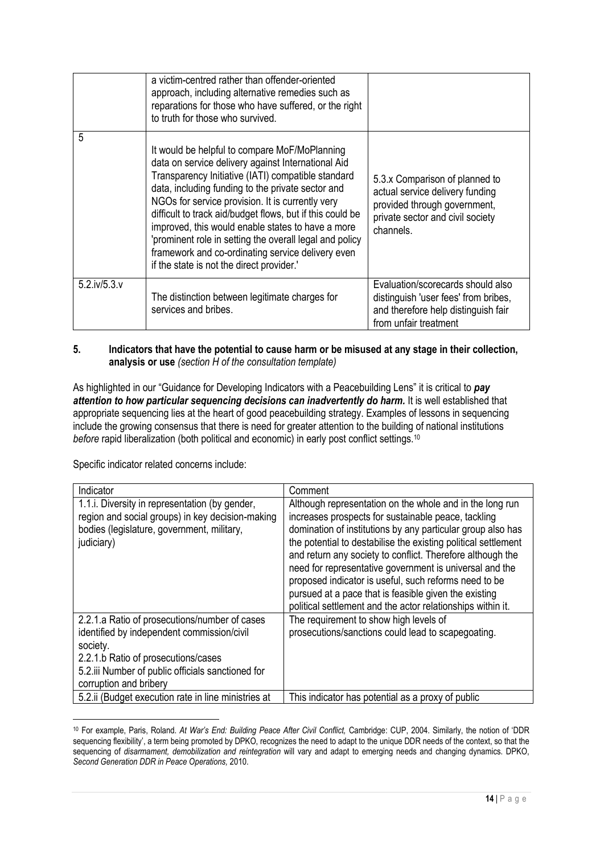|                     | a victim-centred rather than offender-oriented<br>approach, including alternative remedies such as<br>reparations for those who have suffered, or the right<br>to truth for those who survived.                                                                                                                                                                                                                                                                                                                                                   |                                                                                                                                                    |
|---------------------|---------------------------------------------------------------------------------------------------------------------------------------------------------------------------------------------------------------------------------------------------------------------------------------------------------------------------------------------------------------------------------------------------------------------------------------------------------------------------------------------------------------------------------------------------|----------------------------------------------------------------------------------------------------------------------------------------------------|
| 5                   | It would be helpful to compare MoF/MoPlanning<br>data on service delivery against International Aid<br>Transparency Initiative (IATI) compatible standard<br>data, including funding to the private sector and<br>NGOs for service provision. It is currently very<br>difficult to track aid/budget flows, but if this could be<br>improved, this would enable states to have a more<br>'prominent role in setting the overall legal and policy<br>framework and co-ordinating service delivery even<br>if the state is not the direct provider.' | 5.3.x Comparison of planned to<br>actual service delivery funding<br>provided through government,<br>private sector and civil society<br>channels. |
| $5.2$ .iv/ $5.3.$ v | The distinction between legitimate charges for<br>services and bribes.                                                                                                                                                                                                                                                                                                                                                                                                                                                                            | Evaluation/scorecards should also<br>distinguish 'user fees' from bribes,<br>and therefore help distinguish fair<br>from unfair treatment          |

#### **5. Indicators that have the potential to cause harm or be misused at any stage in their collection, analysis or use** *(section H of the consultation template)*

As highlighted in our "Guidance for Developing Indicators with a Peacebuilding Lens" it is critical to *pay* attention to how particular sequencing decisions can inadvertently do harm. It is well established that appropriate sequencing lies at the heart of good peacebuilding strategy. Examples of lessons in sequencing include the growing consensus that there is need for greater attention to the building of national institutions *before* rapid liberalization (both political and economic) in early post conflict settings.<sup>10</sup>

Specific indicator related concerns include:

1

| Indicator                                                                                                                                                                                                                     | Comment                                                                                                                                                                                                                                                                                                                                                                                                                                                                                                                                                    |
|-------------------------------------------------------------------------------------------------------------------------------------------------------------------------------------------------------------------------------|------------------------------------------------------------------------------------------------------------------------------------------------------------------------------------------------------------------------------------------------------------------------------------------------------------------------------------------------------------------------------------------------------------------------------------------------------------------------------------------------------------------------------------------------------------|
| 1.1. Diversity in representation (by gender,<br>region and social groups) in key decision-making<br>bodies (legislature, government, military,<br>judiciary)                                                                  | Although representation on the whole and in the long run<br>increases prospects for sustainable peace, tackling<br>domination of institutions by any particular group also has<br>the potential to destabilise the existing political settlement<br>and return any society to conflict. Therefore although the<br>need for representative government is universal and the<br>proposed indicator is useful, such reforms need to be<br>pursued at a pace that is feasible given the existing<br>political settlement and the actor relationships within it. |
| 2.2.1.a Ratio of prosecutions/number of cases<br>identified by independent commission/civil<br>society.<br>2.2.1.b Ratio of prosecutions/cases<br>5.2.iii Number of public officials sanctioned for<br>corruption and bribery | The requirement to show high levels of<br>prosecutions/sanctions could lead to scapegoating.                                                                                                                                                                                                                                                                                                                                                                                                                                                               |
| 5.2. ii (Budget execution rate in line ministries at                                                                                                                                                                          | This indicator has potential as a proxy of public                                                                                                                                                                                                                                                                                                                                                                                                                                                                                                          |

<sup>10</sup> For example, Paris, Roland. *At War's End: Building Peace After Civil Conflict,* Cambridge: CUP, 2004. Similarly, the notion of 'DDR sequencing flexibility', a term being promoted by DPKO, recognizes the need to adapt to the unique DDR needs of the context, so that the sequencing of *disarmament, demobilization and reintegration* will vary and adapt to emerging needs and changing dynamics. DPKO, *Second Generation DDR in Peace Operations,* 2010.